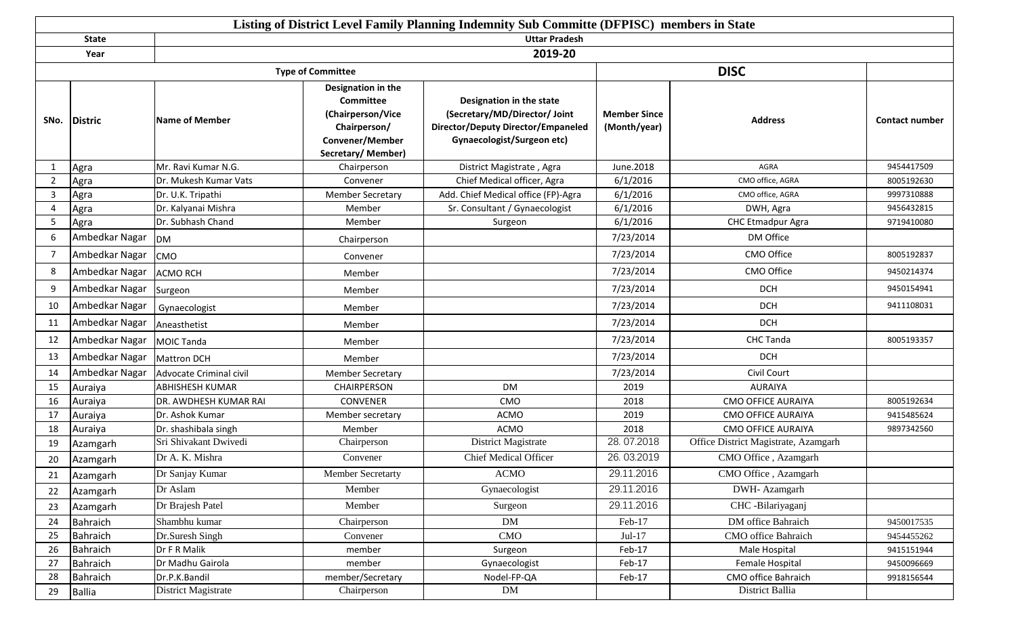|                |                |                         |                                                                                                                            | Listing of District Level Family Planning Indemnity Sub Committe (DFPISC) members in State                                                  |                                     |                                        |                       |
|----------------|----------------|-------------------------|----------------------------------------------------------------------------------------------------------------------------|---------------------------------------------------------------------------------------------------------------------------------------------|-------------------------------------|----------------------------------------|-----------------------|
|                | <b>State</b>   |                         |                                                                                                                            | <b>Uttar Pradesh</b>                                                                                                                        |                                     |                                        |                       |
|                | Year           |                         |                                                                                                                            | 2019-20                                                                                                                                     |                                     |                                        |                       |
|                |                |                         | <b>Type of Committee</b>                                                                                                   |                                                                                                                                             |                                     | <b>DISC</b>                            |                       |
| SNo.           | Distric        | <b>Name of Member</b>   | Designation in the<br><b>Committee</b><br>(Chairperson/Vice<br>Chairperson/<br><b>Convener/Member</b><br>Secretary/Member) | Designation in the state<br>(Secretary/MD/Director/ Joint<br><b>Director/Deputy Director/Empaneled</b><br><b>Gynaecologist/Surgeon etc)</b> | <b>Member Since</b><br>(Month/year) | <b>Address</b>                         | <b>Contact number</b> |
| -1             | Agra           | Mr. Ravi Kumar N.G.     | Chairperson                                                                                                                | District Magistrate, Agra                                                                                                                   | June.2018                           | <b>AGRA</b>                            | 9454417509            |
| $\overline{2}$ | Agra           | Dr. Mukesh Kumar Vats   | Convener                                                                                                                   | Chief Medical officer, Agra                                                                                                                 | 6/1/2016                            | CMO office, AGRA                       | 8005192630            |
| 3              | Agra           | Dr. U.K. Tripathi       | <b>Member Secretary</b>                                                                                                    | Add. Chief Medical office (FP)-Agra                                                                                                         | 6/1/2016                            | CMO office, AGRA                       | 9997310888            |
| 4              | Agra           | Dr. Kalyanai Mishra     | Member                                                                                                                     | Sr. Consultant / Gynaecologist                                                                                                              | 6/1/2016                            | DWH, Agra                              | 9456432815            |
| -5             | Agra           | Dr. Subhash Chand       | Member                                                                                                                     | Surgeon                                                                                                                                     | 6/1/2016                            | <b>CHC Etmadpur Agra</b>               | 9719410080            |
| 6              | Ambedkar Nagar | <b>DM</b>               | Chairperson                                                                                                                |                                                                                                                                             | 7/23/2014                           | DM Office                              |                       |
| -7             | Ambedkar Nagar | <b>CMO</b>              | Convener                                                                                                                   |                                                                                                                                             | 7/23/2014                           | CMO Office                             | 8005192837            |
| -8             | Ambedkar Nagar | <b>ACMO RCH</b>         | Member                                                                                                                     |                                                                                                                                             | 7/23/2014                           | CMO Office                             | 9450214374            |
| q              | Ambedkar Nagar | Surgeon                 | Member                                                                                                                     |                                                                                                                                             | 7/23/2014                           | <b>DCH</b>                             | 9450154941            |
| -10            | Ambedkar Nagar | Gynaecologist           | Member                                                                                                                     |                                                                                                                                             | 7/23/2014                           | <b>DCH</b>                             | 9411108031            |
| 11             | Ambedkar Nagar | Aneasthetist            | Member                                                                                                                     |                                                                                                                                             | 7/23/2014                           | <b>DCH</b>                             |                       |
| 12             | Ambedkar Nagar | <b>MOIC Tanda</b>       | Member                                                                                                                     |                                                                                                                                             | 7/23/2014                           | <b>CHC Tanda</b>                       | 8005193357            |
| 13             | Ambedkar Nagar | <b>Mattron DCH</b>      | Member                                                                                                                     |                                                                                                                                             | 7/23/2014                           | <b>DCH</b>                             |                       |
| 14             | Ambedkar Nagar | Advocate Criminal civil | <b>Member Secretary</b>                                                                                                    |                                                                                                                                             | 7/23/2014                           | Civil Court                            |                       |
| 15             | Auraiya        | ABHISHESH KUMAR         | CHAIRPERSON                                                                                                                | <b>DM</b>                                                                                                                                   | 2019                                | <b>AURAIYA</b>                         |                       |
| 16             | Auraiya        | DR. AWDHESH KUMAR RAI   | <b>CONVENER</b>                                                                                                            | CMO                                                                                                                                         | 2018                                | <b>CMO OFFICE AURAIYA</b>              | 8005192634            |
| 17             | Auraiya        | Dr. Ashok Kumar         | Member secretary                                                                                                           | <b>ACMO</b>                                                                                                                                 | 2019                                | <b>CMO OFFICE AURAIYA</b>              | 9415485624            |
| 18             | Auraiya        | Dr. shashibala singh    | Member                                                                                                                     | <b>ACMO</b>                                                                                                                                 | 2018                                | <b>CMO OFFICE AURAIYA</b>              | 9897342560            |
| 19             | Azamgarh       | Sri Shivakant Dwivedi   | Chairperson                                                                                                                | District Magistrate                                                                                                                         | 28.07.2018                          | Office District Magistrate, Azamgarh   |                       |
| 20             | Azamgarh       | Dr A. K. Mishra         | Convener                                                                                                                   | <b>Chief Medical Officer</b>                                                                                                                | 26.03.2019                          | CMO Office, Azamgarh                   |                       |
| 21             | Azamgarh       | Dr Sanjay Kumar         | Member Secretarty                                                                                                          | <b>ACMO</b>                                                                                                                                 | 29.11.2016                          | CMO Office, Azamgarh                   |                       |
| 22             | Azamgarh       | Dr Aslam                | Member                                                                                                                     | Gynaecologist                                                                                                                               | 29.11.2016                          | DWH- Azamgarh                          |                       |
| 23             | Azamgarh       | Dr Brajesh Patel        | Member                                                                                                                     | Surgeon                                                                                                                                     | 29.11.2016                          | CHC -Bilariyaganj                      |                       |
| 24             | Bahraich       | Shambhu kumar           | Chairperson                                                                                                                | <b>DM</b>                                                                                                                                   | Feb-17                              | DM office Bahraich                     | 9450017535            |
| 25             | Bahraich       | Dr.Suresh Singh         | Convener                                                                                                                   | CMO                                                                                                                                         | $Jul-17$                            | CMO office Bahraich                    | 9454455262            |
| 26             | Bahraich       | Dr F R Malik            | member                                                                                                                     | Surgeon                                                                                                                                     | Feb-17                              | Male Hospital                          | 9415151944            |
| 27             | Bahraich       | Dr Madhu Gairola        | member                                                                                                                     | Gynaecologist                                                                                                                               | Feb-17                              | Female Hospital                        | 9450096669            |
| 28             | Bahraich       | Dr.P.K.Bandil           | member/Secretary                                                                                                           | Nodel-FP-QA                                                                                                                                 | Feb-17                              | CMO office Bahraich<br>District Ballia | 9918156544            |
| 29             | Ballia         | District Magistrate     | Chairperson                                                                                                                | DM                                                                                                                                          |                                     |                                        |                       |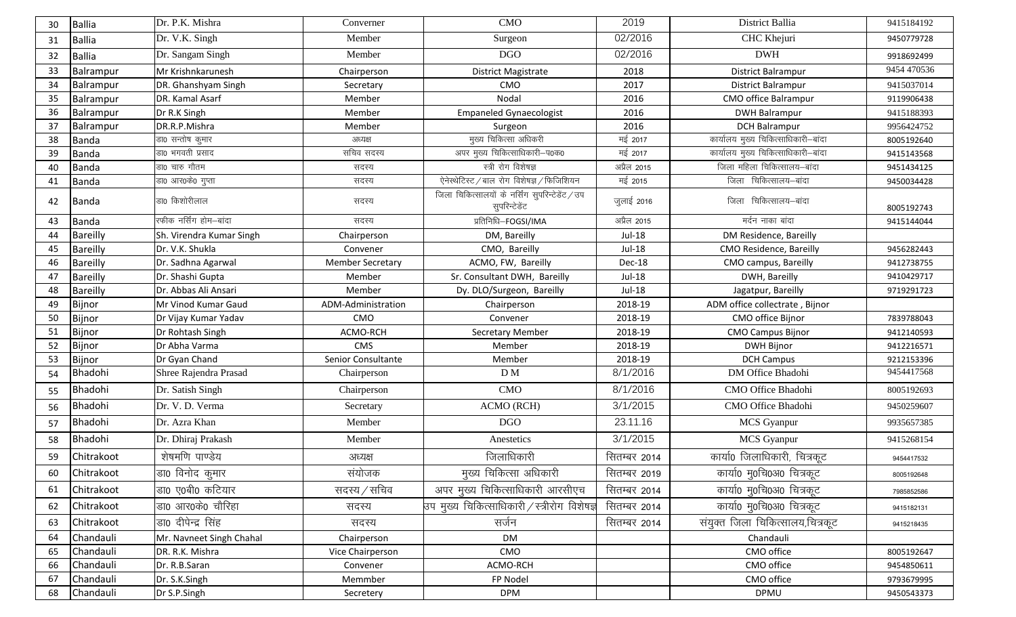| 30 | <b>Ballia</b>   | Dr. P.K. Mishra          | Converner               | <b>CMO</b>                                          | 2019          | District Ballia                     | 9415184192  |
|----|-----------------|--------------------------|-------------------------|-----------------------------------------------------|---------------|-------------------------------------|-------------|
| 31 | <b>Ballia</b>   | Dr. V.K. Singh           | Member                  | Surgeon                                             | 02/2016       | CHC Khejuri                         | 9450779728  |
| 32 | <b>Ballia</b>   | Dr. Sangam Singh         | Member                  | <b>DGO</b>                                          | 02/2016       | <b>DWH</b>                          | 9918692499  |
| 33 | Balrampur       | Mr Krishnkarunesh        | Chairperson             | District Magistrate                                 | 2018          | District Balrampur                  | 9454 470536 |
| 34 | Balrampur       | DR. Ghanshyam Singh      | Secretary               | CMO                                                 | 2017          | <b>District Balrampur</b>           | 9415037014  |
| 35 | Balrampur       | DR. Kamal Asarf          | Member                  | Nodal                                               | 2016          | CMO office Balrampur                | 9119906438  |
| 36 | Balrampur       | Dr R.K Singh             | Member                  | <b>Empaneled Gynaecologist</b>                      | 2016          | <b>DWH Balrampur</b>                | 9415188393  |
| 37 | Balrampur       | DR.R.P.Mishra            | Member                  | Surgeon                                             | 2016          | <b>DCH Balrampur</b>                | 9956424752  |
| 38 | Banda           | डा0 सन्तोष कुमार         | अध्यक्ष                 | मुख्य चिकित्सा अधिकरी                               | मई 2017       | कार्यालय मुख्य चिकित्साधिकारी-बांदा | 8005192640  |
| 39 | <b>Banda</b>    | डा0 भगवती प्रसाद         | सचिव सदस्य              | अपर मुख्य चिकित्साधिकारी-प0क0                       | मई 2017       | कार्यालय मुख्य चिकित्साधिकारी-बांदा | 9415143568  |
| 40 | Banda           | डा0 चारु गौतम            | सदस्य                   | स्त्री रोग विशेषज्ञ                                 | अप्रैल 2015   | जिला महिला चिकित्सालय–बांदा         | 9451434125  |
| 41 | <b>Banda</b>    | डा0 आर0के0 गुप्ता        | सदस्य                   | ऐनेस्थेटिस्ट / बाल रोग विशेषज्ञ / फिजिशियन          | मई 2015       | जिला चिकित्सालय-बांदा               | 9450034428  |
| 42 | <b>Banda</b>    | डा0 किशोरीलाल            | सदस्य                   | सुपरिन्टेडेंट                                       | जुलाई 2016    | जिला चिकित्सालय-बांदा               | 8005192743  |
| 43 | Banda           | रफीक नर्सिंग होम–बांदा   | सदस्य                   | प्रतिनिधि-FOGSI/IMA                                 | अप्रैल 2015   | मर्दन नाका बांदा                    | 9415144044  |
| 44 | Bareilly        | Sh. Virendra Kumar Singh | Chairperson             | DM, Bareilly                                        | Jul-18        | DM Residence, Bareilly              |             |
| 45 | <b>Bareilly</b> | Dr. V.K. Shukla          | Convener                | CMO, Bareilly                                       | <b>Jul-18</b> | CMO Residence, Bareilly             | 9456282443  |
| 46 | <b>Bareilly</b> | Dr. Sadhna Agarwal       | <b>Member Secretary</b> | ACMO, FW, Bareilly                                  | Dec-18        | CMO campus, Bareilly                | 9412738755  |
| 47 | Bareilly        | Dr. Shashi Gupta         | Member                  | Sr. Consultant DWH, Bareilly                        | Jul-18        | DWH, Bareilly                       | 9410429717  |
| 48 | <b>Bareilly</b> | Dr. Abbas Ali Ansari     | Member                  | Dy. DLO/Surgeon, Bareilly                           | $Jul-18$      | Jagatpur, Bareilly                  | 9719291723  |
| 49 | Bijnor          | Mr Vinod Kumar Gaud      | ADM-Administration      | Chairperson                                         | 2018-19       | ADM office collectrate, Bijnor      |             |
| 50 | Bijnor          | Dr Vijay Kumar Yadav     | CMO                     | Convener                                            | 2018-19       | CMO office Bijnor                   | 7839788043  |
| 51 | Bijnor          | Dr Rohtash Singh         | ACMO-RCH                | Secretary Member                                    | 2018-19       | <b>CMO Campus Bijnor</b>            | 9412140593  |
| 52 | Bijnor          | Dr Abha Varma            | CMS                     | Member                                              | 2018-19       | <b>DWH Bijnor</b>                   | 9412216571  |
| 53 | Bijnor          | Dr Gyan Chand            | Senior Consultante      | Member                                              | 2018-19       | <b>DCH Campus</b>                   | 9212153396  |
| 54 | Bhadohi         | Shree Rajendra Prasad    | Chairperson             | D M                                                 | 8/1/2016      | DM Office Bhadohi                   | 9454417568  |
| 55 | Bhadohi         | Dr. Satish Singh         | Chairperson             | CMO                                                 | 8/1/2016      | CMO Office Bhadohi                  | 8005192693  |
| 56 | Bhadohi         | Dr. V. D. Verma          | Secretary               | ACMO (RCH)                                          | 3/1/2015      | CMO Office Bhadohi                  | 9450259607  |
| 57 | Bhadohi         | Dr. Azra Khan            | Member                  | <b>DGO</b>                                          | 23.11.16      | MCS Gyanpur                         | 9935657385  |
| 58 | Bhadohi         | Dr. Dhiraj Prakash       | Member                  | Anestetics                                          | 3/1/2015      | MCS Gyanpur                         | 9415268154  |
| 59 | Chitrakoot      | शेषमणि पाण्डेय           | अध्यक्ष                 | जिलाधिकारी                                          | सितम्बर 2014  | कार्या0 जिलाधिकारी, चित्रकूट        | 9454417532  |
| 60 | Chitrakoot      | डा0 विनोद कुमार          | संयोजक                  | मुख्य चिकित्सा अधिकारी                              | सितम्बर 2019  | कार्या0 मु0चि0अ0 चित्रकूट           | 8005192648  |
| 61 | Chitrakoot      | डा0 ए0बी0 कटियार         | सदस्य / सचिव            | अपर मुख्य चिकित्साधिकारी आरसीएच                     | सितम्बर 2014  | कार्या0 मु0चि0अ0 चित्रकूट           | 7985852586  |
| 62 | Chitrakoot      | डा0 आर0के0 चौरिहा        | सदस्य                   | उप मुख्य चिकित्साधिकारी $\angle$ स्त्रीरोग विशेषज्ञ | सितम्बर 2014  | कार्या0 म्0चि0अ0 चित्रकूट           | 9415182131  |
| 63 | Chitrakoot      | डा0 दीपेन्द्र सिंह       | सदस्य                   | सर्जन                                               | सितम्बर 2014  | संयुक्त जिला चिकित्सालय,चित्रकूट    | 9415218435  |
| 64 | Chandauli       | Mr. Navneet Singh Chahal | Chairperson             | DM                                                  |               | Chandauli                           |             |
| 65 | Chandauli       | DR. R.K. Mishra          | Vice Chairperson        | CMO                                                 |               | CMO office                          | 8005192647  |
| 66 | Chandauli       | Dr. R.B.Saran            | Convener                | ACMO-RCH                                            |               | CMO office                          | 9454850611  |
| 67 | Chandauli       | Dr. S.K.Singh            | Memmber                 | FP Nodel                                            |               | CMO office                          | 9793679995  |
| 68 | Chandauli       | Dr S.P.Singh             | Secretery               | <b>DPM</b>                                          |               | DPMU                                | 9450543373  |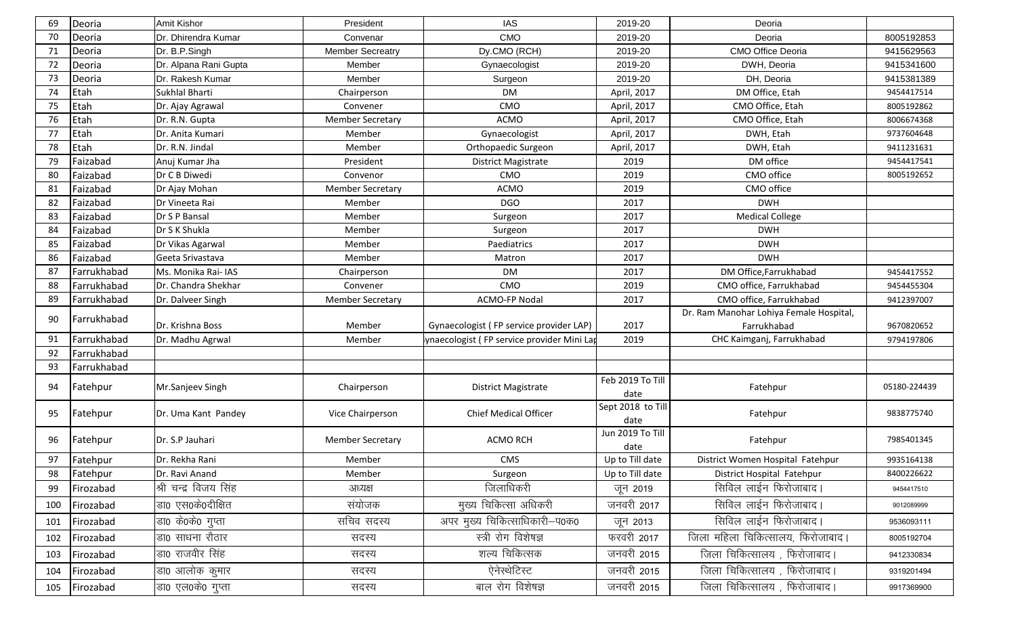| 69  | Deoria      | Amit Kishor           | President               | <b>IAS</b>                                | 2019-20                   | Deoria                                  |              |
|-----|-------------|-----------------------|-------------------------|-------------------------------------------|---------------------------|-----------------------------------------|--------------|
| 70  | Deoria      | Dr. Dhirendra Kumar   | Convenar                | <b>CMO</b>                                | 2019-20                   | Deoria                                  | 8005192853   |
| 71  | Deoria      | Dr. B.P.Singh         | <b>Member Secreatry</b> | Dy.CMO (RCH)                              | 2019-20                   | CMO Office Deoria                       | 9415629563   |
| 72  | Deoria      | Dr. Alpana Rani Gupta | Member                  | Gynaecologist                             | 2019-20                   | DWH, Deoria                             | 9415341600   |
| 73  | Deoria      | Dr. Rakesh Kumar      | Member                  | Surgeon                                   | 2019-20                   | DH, Deoria                              | 9415381389   |
| 74  | Etah        | Sukhlal Bharti        | Chairperson             | <b>DM</b>                                 | April, 2017               | DM Office, Etah                         | 9454417514   |
| 75  | Etah        | Dr. Ajay Agrawal      | Convener                | CMO                                       | April, 2017               | CMO Office, Etah                        | 8005192862   |
| 76  | Etah        | Dr. R.N. Gupta        | <b>Member Secretary</b> | ACMO                                      | April, 2017               | CMO Office, Etah                        | 8006674368   |
| 77  | Etah        | Dr. Anita Kumari      | Member                  | Gynaecologist                             | April, 2017               | DWH, Etah                               | 9737604648   |
| 78  | Etah        | Dr. R.N. Jindal       | Member                  | Orthopaedic Surgeon                       | April, 2017               | DWH, Etah                               | 9411231631   |
| 79  | Faizabad    | Anuj Kumar Jha        | President               | <b>District Magistrate</b>                | 2019                      | DM office                               | 9454417541   |
| 80  | Faizabad    | Dr C B Diwedi         | Convenor                | CMO                                       | 2019                      | CMO office                              | 8005192652   |
| 81  | Faizabad    | Dr Ajay Mohan         | <b>Member Secretary</b> | <b>ACMO</b>                               | 2019                      | CMO office                              |              |
| 82  | Faizabad    | Dr Vineeta Rai        | Member                  | <b>DGO</b>                                | 2017                      | <b>DWH</b>                              |              |
| 83  | Faizabad    | Dr S P Bansal         | Member                  | Surgeon                                   | 2017                      | <b>Medical College</b>                  |              |
| 84  | Faizabad    | Dr S K Shukla         | Member                  | Surgeon                                   | 2017                      | <b>DWH</b>                              |              |
| 85  | Faizabad    | Dr Vikas Agarwal      | Member                  | Paediatrics                               | 2017                      | <b>DWH</b>                              |              |
| 86  | Faizabad    | Geeta Srivastava      | Member                  | Matron                                    | 2017                      | <b>DWH</b>                              |              |
| 87  | Farrukhabad | Ms. Monika Rai- IAS   | Chairperson             | <b>DM</b>                                 | 2017                      | DM Office, Farrukhabad                  | 9454417552   |
| 88  | Farrukhabad | Dr. Chandra Shekhar   | Convener                | CMO                                       | 2019                      | CMO office, Farrukhabad                 | 9454455304   |
| 89  | Farrukhabad | Dr. Dalveer Singh     | <b>Member Secretary</b> | ACMO-FP Nodal                             | 2017                      | CMO office, Farrukhabad                 | 9412397007   |
| 90  | Farrukhabad |                       |                         |                                           |                           | Dr. Ram Manohar Lohiya Female Hospital, |              |
|     |             | Dr. Krishna Boss      | Member                  | Gynaecologist (FP service provider LAP)   | 2017                      | Farrukhabad                             | 9670820652   |
| 91  | Farrukhabad | Dr. Madhu Agrwal      | Member                  | ynaecologist (FP service provider Mini La | 2019                      | CHC Kaimganj, Farrukhabad               | 9794197806   |
| 92  | Farrukhabad |                       |                         |                                           |                           |                                         |              |
| 93  | Farrukhabad |                       |                         |                                           |                           |                                         |              |
| 94  | Fatehpur    | Mr.Sanjeev Singh      | Chairperson             | <b>District Magistrate</b>                | Feb 2019 To Till<br>date  | Fatehpur                                | 05180-224439 |
| 95  | Fatehpur    | Dr. Uma Kant Pandey   | Vice Chairperson        | <b>Chief Medical Officer</b>              | Sept 2018 to Till<br>date | Fatehpur                                | 9838775740   |
| 96  | Fatehpur    | Dr. S.P Jauhari       | <b>Member Secretary</b> | <b>ACMO RCH</b>                           | Jun 2019 To Till<br>date  | Fatehpur                                | 7985401345   |
| 97  | Fatehpur    | Dr. Rekha Rani        | Member                  | CMS                                       | Up to Till date           | District Women Hospital Fatehpur        | 9935164138   |
| 98  | Fatehpur    | Dr. Ravi Anand        | Member                  | Surgeon                                   | Up to Till date           | District Hospital Fatehpur              | 8400226622   |
| 99  | Firozabad   | श्री चन्द्र विजय सिंह | अध्यक्ष                 | जिलाधिकरी                                 | जून 2019                  | सिविल लाईन फिरोजाबाद।                   | 9454417510   |
| 100 | Firozabad   | डा0 एस0के0दीक्षित     | संयोजक                  | मुख्य चिकित्सा अधिकरी                     | जनवरी 2017                | सिविल लाईन फिरोजाबाद।                   | 9012089999   |
| 101 | Firozabad   | डा0 के0के0 गुप्ता     | सचिव सदस्य              | अपर मुख्य चिकित्साधिकारी-प0क0             | जून 2013                  | सिविल लाईन फिरोजाबाद।                   | 9536093111   |
| 102 | Firozabad   | डा0 साधना रौठार       | सदस्य                   | स्त्री रोग विशेषज्ञ                       | फरवरी 2017                | जिला महिला चिकित्सालय, फिरोजाबाद।       | 8005192704   |
| 103 | Firozabad   | डा0 राजवीर सिंह       | सदस्य                   | शल्य चिकित्सक                             | जनवरी 2015                | जिला चिकित्सालय, फिरोजाबाद।             | 9412330834   |
| 104 | Firozabad   | डा0 आलोक कुमार        | सदस्य                   | ऐनेस्थेटिस्ट                              | जनवरी 2015                | जिला चिकित्सालय , फिरोजाबाद।            | 9319201494   |
| 105 | Firozabad   | डा0 एल0के0 गुप्ता     | सदस्य                   | बाल रोग विशेषज्ञ                          | जनवरी 2015                | जिला चिकित्सालय, फिरोजाबाद।             | 9917369900   |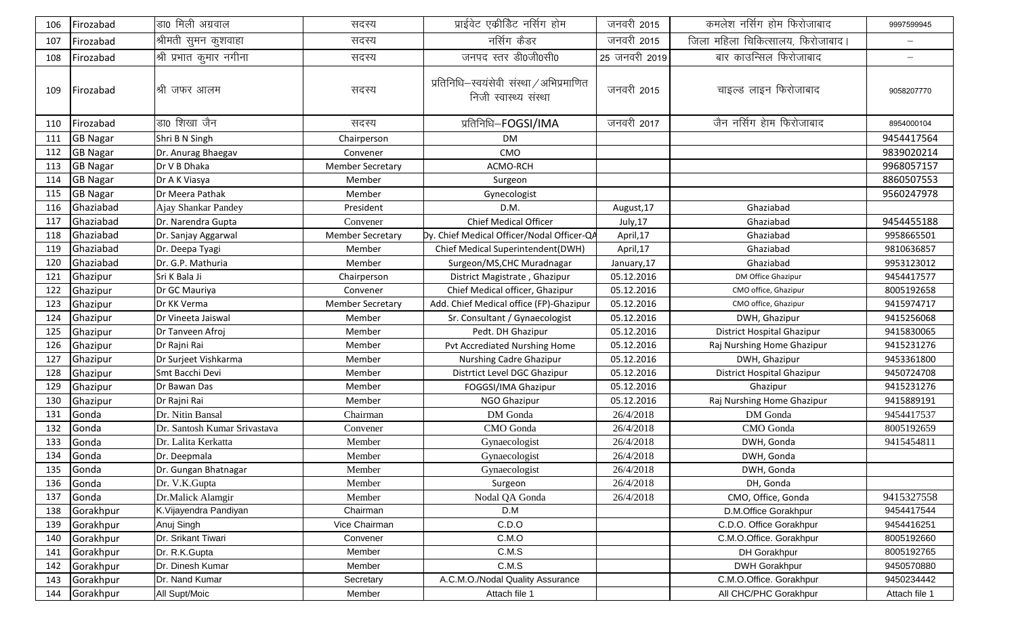| 106 | Firozabad       | डा0 मिली अग्रवाल             | सदस्य                   | प्राईवेट एकीडिट नर्सिग होम                                        | जनवरी 2015    | कमलेश नर्सिग होम फिरोजाबाद        | 9997599945               |
|-----|-----------------|------------------------------|-------------------------|-------------------------------------------------------------------|---------------|-----------------------------------|--------------------------|
| 107 | Firozabad       | श्रीमती सुमन कुशवाहा         | सदस्य                   | नर्सिग कैडर                                                       | जनवरी 2015    | जिला महिला चिकित्सालय, फिरोजाबाद। |                          |
| 108 | Firozabad       | श्री प्रभात कुमार नगीना      | सदस्य                   | जनपद स्तर डी0जी0सी0                                               | 25 जनवरी 2019 | बार काउन्सिल फिरोजाबाद            | $\overline{\phantom{0}}$ |
| 109 | Firozabad       | श्री जफर आलम                 | सदस्य                   | प्रतिनिधि-स्वयंसेवी संस्था / अभिप्रमाणित<br>निजी स्वास्थ्य संस्था | जनवरी 2015    | चाइल्ड लाइन फिरोजाबाद             | 9058207770               |
| 110 | Firozabad       | डा0 शिखा जैन                 | सदस्य                   | प्रतिनिधि-FOGSI/IMA                                               | जनवरी 2017    | जैन नर्सिग हेाम फिरोजाबाद         | 8954000104               |
| 111 | <b>GB Nagar</b> | Shri B N Singh               | Chairperson             | <b>DM</b>                                                         |               |                                   | 9454417564               |
| 112 | <b>GB Nagar</b> | Dr. Anurag Bhaegav           | Convener                | CMO                                                               |               |                                   | 9839020214               |
| 113 | <b>GB Nagar</b> | Dr V B Dhaka                 | <b>Member Secretary</b> | ACMO-RCH                                                          |               |                                   | 9968057157               |
| 114 | <b>GB Nagar</b> | Dr A K Viasya                | Member                  | Surgeon                                                           |               |                                   | 8860507553               |
| 115 | <b>GB Nagar</b> | Dr Meera Pathak              | Member                  | Gynecologist                                                      |               |                                   | 9560247978               |
| 116 | Ghaziabad       | Ajay Shankar Pandey          | President               | D.M.                                                              | August, 17    | Ghaziabad                         |                          |
| 117 | Ghaziabad       | Dr. Narendra Gupta           | Convener                | Chief Medical Officer                                             | July, 17      | Ghaziabad                         | 9454455188               |
| 118 | Ghaziabad       | Dr. Sanjay Aggarwal          | <b>Member Secretary</b> | Dy. Chief Medical Officer/Nodal Officer-QA                        | April,17      | Ghaziabad                         | 9958665501               |
| 119 | Ghaziabad       | Dr. Deepa Tyagi              | Member                  | Chief Medical Superintendent(DWH)                                 | April,17      | Ghaziabad                         | 9810636857               |
| 120 | Ghaziabad       | Dr. G.P. Mathuria            | Member                  | Surgeon/MS, CHC Muradnagar                                        | January, 17   | Ghaziabad                         | 9953123012               |
| 121 | Ghazipur        | Sri K Bala Ji                | Chairperson             | District Magistrate, Ghazipur                                     | 05.12.2016    | DM Office Ghazipur                | 9454417577               |
| 122 | Ghazipur        | Dr GC Mauriya                | Convener                | Chief Medical officer, Ghazipur                                   | 05.12.2016    | CMO office, Ghazipur              | 8005192658               |
| 123 | Ghazipur        | Dr KK Verma                  | <b>Member Secretary</b> | Add. Chief Medical office (FP)-Ghazipur                           | 05.12.2016    | CMO office, Ghazipur              | 9415974717               |
| 124 | Ghazipur        | Dr Vineeta Jaiswal           | Member                  | Sr. Consultant / Gynaecologist                                    | 05.12.2016    | DWH, Ghazipur                     | 9415256068               |
| 125 | Ghazipur        | Dr Tanveen Afroj             | Member                  | Pedt. DH Ghazipur                                                 | 05.12.2016    | District Hospital Ghazipur        | 9415830065               |
| 126 | Ghazipur        | Dr Rajni Rai                 | Member                  | Pvt Accrediated Nurshing Home                                     | 05.12.2016    | Raj Nurshing Home Ghazipur        | 9415231276               |
| 127 | Ghazipur        | Dr Surjeet Vishkarma         | Member                  | Nurshing Cadre Ghazipur                                           | 05.12.2016    | DWH, Ghazipur                     | 9453361800               |
| 128 | Ghazipur        | Smt Bacchi Devi              | Member                  | Distrtict Level DGC Ghazipur                                      | 05.12.2016    | District Hospital Ghazipur        | 9450724708               |
| 129 | Ghazipur        | Dr Bawan Das                 | Member                  | FOGGSI/IMA Ghazipur                                               | 05.12.2016    | Ghazipur                          | 9415231276               |
| 130 | Ghazipur        | Dr Rajni Rai                 | Member                  | NGO Ghazipur                                                      | 05.12.2016    | Raj Nurshing Home Ghazipur        | 9415889191               |
| 131 | Gonda           | Dr. Nitin Bansal             | Chairman                | DM Gonda                                                          | 26/4/2018     | DM Gonda                          | 9454417537               |
| 132 | Gonda           | Dr. Santosh Kumar Srivastava | Convener                | CMO Gonda                                                         | 26/4/2018     | CMO Gonda                         | 8005192659               |
| 133 | Gonda           | Dr. Lalita Kerkatta          | Member                  | Gynaecologist                                                     | 26/4/2018     | DWH, Gonda                        | 9415454811               |
| 134 | Gonda           | Dr. Deepmala                 | Member                  | Gynaecologist                                                     | 26/4/2018     | DWH, Gonda                        |                          |
| 135 | Gonda           | Dr. Gungan Bhatnagar         | Member                  | Gynaecologist                                                     | 26/4/2018     | DWH, Gonda                        |                          |
| 136 | Gonda           | Dr. V.K.Gupta                | Member                  | Surgeon                                                           | 26/4/2018     | DH, Gonda                         |                          |
| 137 | Gonda           | Dr.Malick Alamgir            | Member                  | Nodal QA Gonda                                                    | 26/4/2018     | CMO, Office, Gonda                | 9415327558               |
| 138 | Gorakhpur       | K.Vijayendra Pandiyan        | Chairman                | D.M                                                               |               | D.M.Office Gorakhpur              | 9454417544               |
| 139 | Gorakhpur       | Anuj Singh                   | Vice Chairman           | C.D.O                                                             |               | C.D.O. Office Gorakhpur           | 9454416251               |
| 140 | Gorakhpur       | Dr. Srikant Tiwari           | Convener                | C.M.O                                                             |               | C.M.O.Office. Gorakhpur           | 8005192660               |
| 141 | Gorakhpur       | Dr. R.K.Gupta                | Member                  | C.M.S                                                             |               | DH Gorakhpur                      | 8005192765               |
| 142 | Gorakhpur       | Dr. Dinesh Kumar             | Member                  | C.M.S                                                             |               | <b>DWH Gorakhpur</b>              | 9450570880               |
| 143 | Gorakhpur       | Dr. Nand Kumar               | Secretary               | A.C.M.O./Nodal Quality Assurance                                  |               | C.M.O.Office. Gorakhpur           | 9450234442               |
| 144 | Gorakhpur       | All Supt/Moic                | Member                  | Attach file 1                                                     |               | All CHC/PHC Gorakhpur             | Attach file 1            |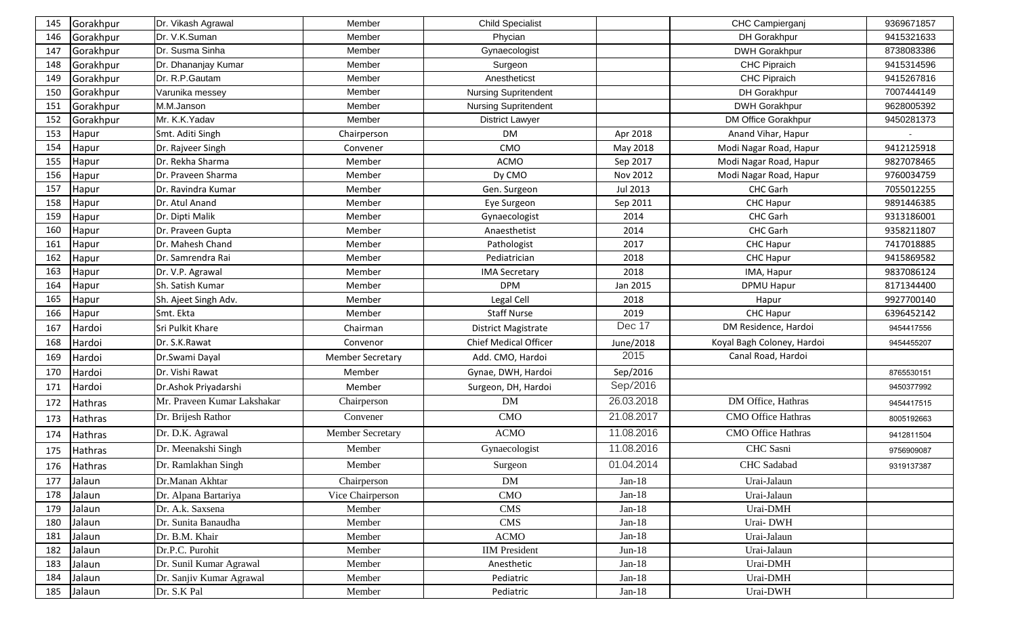| 145 | Gorakhpur      | Dr. Vikash Agrawal          | Member                  | <b>Child Specialist</b>      |            | CHC Campierganj            | 9369671857 |
|-----|----------------|-----------------------------|-------------------------|------------------------------|------------|----------------------------|------------|
| 146 | Gorakhpur      | Dr. V.K.Suman               | Member                  | Phycian                      |            | DH Gorakhpur               | 9415321633 |
| 147 | Gorakhpur      | Dr. Susma Sinha             | Member                  | Gynaecologist                |            | <b>DWH Gorakhpur</b>       | 8738083386 |
| 148 | Gorakhpur      | Dr. Dhananjay Kumar         | Member                  | Surgeon                      |            | <b>CHC Pipraich</b>        | 9415314596 |
| 149 | Gorakhpur      | Dr. R.P.Gautam              | Member                  | Anestheticst                 |            | <b>CHC Pipraich</b>        | 9415267816 |
| 150 | Gorakhpur      | Varunika messey             | Member                  | <b>Nursing Supritendent</b>  |            | DH Gorakhpur               | 7007444149 |
| 151 | Gorakhpur      | M.M.Janson                  | Member                  | <b>Nursing Supritendent</b>  |            | <b>DWH Gorakhpur</b>       | 9628005392 |
| 152 | Gorakhpur      | Mr. K.K.Yadav               | Member                  | District Lawyer              |            | DM Office Gorakhpur        | 9450281373 |
| 153 | Hapur          | Smt. Aditi Singh            | Chairperson             | <b>DM</b>                    | Apr 2018   | Anand Vihar, Hapur         |            |
| 154 | Hapur          | Dr. Rajveer Singh           | Convener                | CMO                          | May 2018   | Modi Nagar Road, Hapur     | 9412125918 |
| 155 | Hapur          | Dr. Rekha Sharma            | Member                  | <b>ACMO</b>                  | Sep 2017   | Modi Nagar Road, Hapur     | 9827078465 |
| 156 | Hapur          | Dr. Praveen Sharma          | Member                  | Dy CMO                       | Nov 2012   | Modi Nagar Road, Hapur     | 9760034759 |
| 157 | Hapur          | Dr. Ravindra Kumar          | Member                  | Gen. Surgeon                 | Jul 2013   | CHC Garh                   | 7055012255 |
| 158 | Hapur          | Dr. Atul Anand              | Member                  | Eye Surgeon                  | Sep 2011   | <b>CHC Hapur</b>           | 9891446385 |
| 159 | Hapur          | Dr. Dipti Malik             | Member                  | Gynaecologist                | 2014       | CHC Garh                   | 9313186001 |
| 160 | Hapur          | Dr. Praveen Gupta           | Member                  | Anaesthetist                 | 2014       | CHC Garh                   | 9358211807 |
| 161 | Hapur          | Dr. Mahesh Chand            | Member                  | Pathologist                  | 2017       | <b>CHC Hapur</b>           | 7417018885 |
| 162 | Hapur          | Dr. Samrendra Rai           | Member                  | Pediatrician                 | 2018       | <b>CHC Hapur</b>           | 9415869582 |
| 163 | Hapur          | Dr. V.P. Agrawal            | Member                  | <b>IMA Secretary</b>         | 2018       | IMA, Hapur                 | 9837086124 |
| 164 | Hapur          | Sh. Satish Kumar            | Member                  | <b>DPM</b>                   | Jan 2015   | <b>DPMU Hapur</b>          | 8171344400 |
| 165 | Hapur          | Sh. Ajeet Singh Adv.        | Member                  | Legal Cell                   | 2018       | Hapur                      | 9927700140 |
| 166 | Hapur          | Smt. Ekta                   | Member                  | <b>Staff Nurse</b>           | 2019       | CHC Hapur                  | 6396452142 |
| 167 | Hardoi         | Sri Pulkit Khare            | Chairman                | <b>District Magistrate</b>   | Dec 17     | DM Residence, Hardoi       | 9454417556 |
| 168 | Hardoi         | Dr. S.K.Rawat               | Convenor                | <b>Chief Medical Officer</b> | June/2018  | Koyal Bagh Coloney, Hardoi | 9454455207 |
| 169 | Hardoi         | Dr.Swami Dayal              | <b>Member Secretary</b> | Add. CMO, Hardoi             | 2015       | Canal Road, Hardoi         |            |
| 170 | Hardoi         | Dr. Vishi Rawat             | Member                  | Gynae, DWH, Hardoi           | Sep/2016   |                            | 8765530151 |
| 171 | Hardoi         | Dr.Ashok Priyadarshi        | Member                  | Surgeon, DH, Hardoi          | Sep/2016   |                            | 9450377992 |
| 172 | Hathras        | Mr. Praveen Kumar Lakshakar | Chairperson             | <b>DM</b>                    | 26.03.2018 | DM Office, Hathras         | 9454417515 |
| 173 | Hathras        | Dr. Brijesh Rathor          | Convener                | <b>CMO</b>                   | 21.08.2017 | <b>CMO Office Hathras</b>  | 8005192663 |
| 174 | <b>Hathras</b> | Dr. D.K. Agrawal            | <b>Member Secretary</b> | <b>ACMO</b>                  | 11.08.2016 | <b>CMO Office Hathras</b>  | 9412811504 |
| 175 | Hathras        | Dr. Meenakshi Singh         | Member                  | Gynaecologist                | 11.08.2016 | CHC Sasni                  | 9756909087 |
|     | 176 Hathras    | Dr. Ramlakhan Singh         | Member                  | Surgeon                      | 01.04.2014 | CHC Sadabad                | 9319137387 |
| 177 | Jalaun         | Dr.Manan Akhtar             | Chairperson             | <b>DM</b>                    | $Jan-18$   | Urai-Jalaun                |            |
| 178 | Jalaun         | Dr. Alpana Bartariya        | Vice Chairperson        | CMO                          | $Jan-18$   | Urai-Jalaun                |            |
| 179 | Jalaun         | Dr. A.k. Saxsena            | Member                  | <b>CMS</b>                   | $Jan-18$   | Urai-DMH                   |            |
| 180 | Jalaun         | Dr. Sunita Banaudha         | Member                  | <b>CMS</b>                   | $Jan-18$   | Urai-DWH                   |            |
| 181 | Jalaun         | Dr. B.M. Khair              | Member                  | <b>ACMO</b>                  | $Jan-18$   | Urai-Jalaun                |            |
| 182 | Jalaun         | Dr.P.C. Purohit             | Member                  | <b>IIM</b> President         | $Jun-18$   | Urai-Jalaun                |            |
| 183 | Jalaun         | Dr. Sunil Kumar Agrawal     | Member                  | Anesthetic                   | $Jan-18$   | Urai-DMH                   |            |
| 184 | Jalaun         | Dr. Sanjiv Kumar Agrawal    | Member                  | Pediatric                    | $Jan-18$   | Urai-DMH                   |            |
| 185 | Jalaun         | Dr. S.K Pal                 | Member                  | Pediatric                    | $Jan-18$   | Urai-DWH                   |            |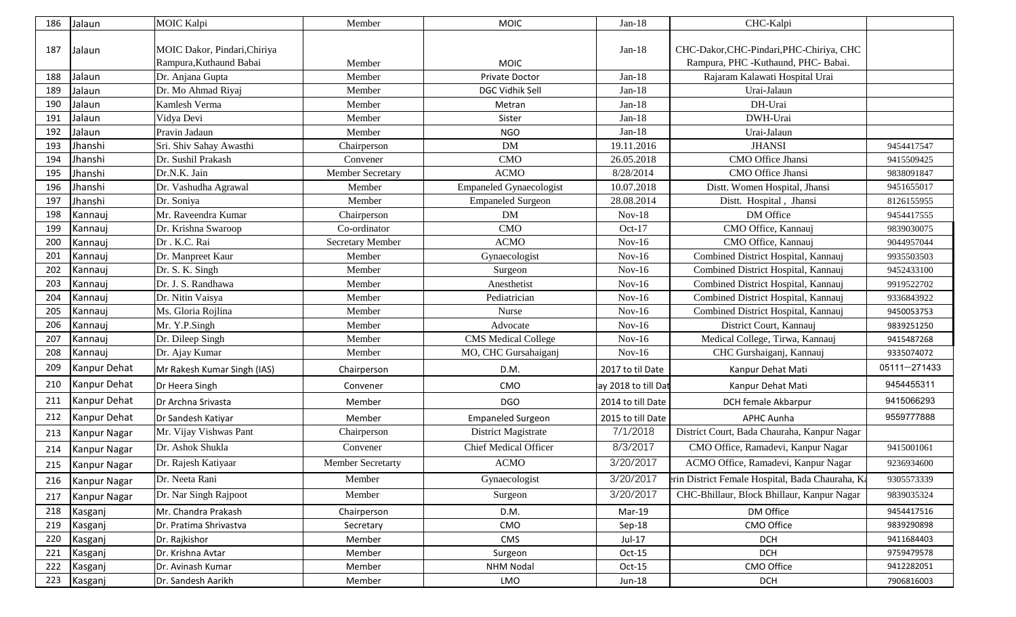| 186 | Jalaun              | <b>MOIC Kalpi</b>                                       | Member                   | <b>MOIC</b>                    | $Jan-18$            | CHC-Kalpi                                                                       |              |
|-----|---------------------|---------------------------------------------------------|--------------------------|--------------------------------|---------------------|---------------------------------------------------------------------------------|--------------|
| 187 | Jalaun              | MOIC Dakor, Pindari, Chiriya<br>Rampura, Kuthaund Babai | Member                   | <b>MOIC</b>                    | $Jan-18$            | CHC-Dakor, CHC-Pindari, PHC-Chiriya, CHC<br>Rampura, PHC -Kuthaund, PHC- Babai. |              |
| 188 | Jalaun              | Dr. Anjana Gupta                                        | Member                   | Private Doctor                 | $Jan-18$            | Rajaram Kalawati Hospital Urai                                                  |              |
| 189 | Jalaun              | Dr. Mo Ahmad Riyaj                                      | Member                   | DGC Vidhik Sell                | $Jan-18$            | Urai-Jalaun                                                                     |              |
| 190 | Jalaun              | Kamlesh Verma                                           | Member                   | Metran                         | $Jan-18$            | DH-Urai                                                                         |              |
| 191 | Jalaun              | Vidya Devi                                              | Member                   | Sister                         | $Jan-18$            | DWH-Urai                                                                        |              |
| 192 | Jalaun              | Pravin Jadaun                                           | Member                   | <b>NGO</b>                     | $Jan-18$            | Urai-Jalaun                                                                     |              |
| 193 | Jhanshi             | Sri. Shiv Sahay Awasthi                                 | Chairperson              | DM                             | 19.11.2016          | <b>JHANSI</b>                                                                   | 9454417547   |
| 194 | Jhanshi             | Dr. Sushil Prakash                                      | Convener                 | <b>CMO</b>                     | 26.05.2018          | CMO Office Jhansi                                                               | 9415509425   |
| 195 | Jhanshi             | Dr.N.K. Jain                                            | Member Secretary         | <b>ACMO</b>                    | 8/28/2014           | CMO Office Jhansi                                                               | 9838091847   |
| 196 | Jhanshi             | Dr. Vashudha Agrawal                                    | Member                   | <b>Empaneled Gynaecologist</b> | 10.07.2018          | Distt. Women Hospital, Jhansi                                                   | 9451655017   |
| 197 | Jhanshi             | Dr. Soniya                                              | Member                   | <b>Empaneled Surgeon</b>       | 28.08.2014          | Distt. Hospital, Jhansi                                                         | 8126155955   |
| 198 | Kannauj             | Mr. Raveendra Kumar                                     | Chairperson              | DM                             | $Nov-18$            | DM Office                                                                       | 9454417555   |
| 199 | Kannauj             | Dr. Krishna Swaroop                                     | Co-ordinator             | <b>CMO</b>                     | $Oct-17$            | CMO Office, Kannauj                                                             | 9839030075   |
| 200 | Kannauj             | Dr. K.C. Rai                                            | <b>Secretary Member</b>  | <b>ACMO</b>                    | $Nov-16$            | CMO Office, Kannauj                                                             | 9044957044   |
| 201 | Kannauj             | Dr. Manpreet Kaur                                       | Member                   | Gynaecologist                  | $Nov-16$            | Combined District Hospital, Kannauj                                             | 9935503503   |
| 202 | Kannauj             | Dr. S. K. Singh                                         | Member                   | Surgeon                        | $Nov-16$            | Combined District Hospital, Kannauj                                             | 9452433100   |
| 203 | Kannauj             | Dr. J. S. Randhawa                                      | Member                   | Anesthetist                    | $Nov-16$            | Combined District Hospital, Kannauj                                             | 9919522702   |
| 204 | Kannauj             | Dr. Nitin Vaisya                                        | Member                   | Pediatrician                   | $Nov-16$            | Combined District Hospital, Kannauj                                             | 9336843922   |
| 205 | Kannauj             | Ms. Gloria Rojlina                                      | Member                   | Nurse                          | $Nov-16$            | Combined District Hospital, Kannauj                                             | 9450053753   |
| 206 | Kannauj             | Mr. Y.P.Singh                                           | Member                   | Advocate                       | $Nov-16$            | District Court, Kannauj                                                         | 9839251250   |
| 207 | Kannauj             | Dr. Dileep Singh                                        | Member                   | <b>CMS</b> Medical College     | $Nov-16$            | Medical College, Tirwa, Kannauj                                                 | 9415487268   |
| 208 | Kannauj             | Dr. Ajay Kumar                                          | Member                   | MO, CHC Gursahaiganj           | $Nov-16$            | CHC Gurshaiganj, Kannauj                                                        | 9335074072   |
| 209 | Kanpur Dehat        | Mr Rakesh Kumar Singh (IAS)                             | Chairperson              | D.M.                           | 2017 to til Date    | Kanpur Dehat Mati                                                               | 05111-271433 |
| 210 | Kanpur Dehat        | Dr Heera Singh                                          | Convener                 | CMO                            | ay 2018 to till Dat | Kanpur Dehat Mati                                                               | 9454455311   |
| 211 | Kanpur Dehat        | Dr Archna Srivasta                                      | Member                   | <b>DGO</b>                     | 2014 to till Date   | DCH female Akbarpur                                                             | 9415066293   |
| 212 | Kanpur Dehat        | Dr Sandesh Katiyar                                      | Member                   | <b>Empaneled Surgeon</b>       | 2015 to till Date   | <b>APHC Aunha</b>                                                               | 9559777888   |
| 213 | <b>Kanpur Nagar</b> | Mr. Vijay Vishwas Pant                                  | Chairperson              | District Magistrate            | 7/1/2018            | District Court, Bada Chauraha, Kanpur Nagar                                     |              |
| 214 | <b>Kanpur Nagar</b> | Dr. Ashok Shukla                                        | Convener                 | <b>Chief Medical Officer</b>   | 8/3/2017            | CMO Office, Ramadevi, Kanpur Nagar                                              | 9415001061   |
| 215 | Kanpur Nagar        | Dr. Rajesh Katiyaar                                     | <b>Member Secretarty</b> | <b>ACMO</b>                    | 3/20/2017           | ACMO Office, Ramadevi, Kanpur Nagar                                             | 9236934600   |
| 216 | Kanpur Nagar        | Dr. Neeta Rani                                          | Member                   | Gynaecologist                  | 3/20/2017           | erin District Female Hospital, Bada Chauraha, Ka                                | 9305573339   |
| 217 | Kanpur Nagar        | Dr. Nar Singh Rajpoot                                   | Member                   | Surgeon                        | 3/20/2017           | CHC-Bhillaur, Block Bhillaur, Kanpur Nagar                                      | 9839035324   |
| 218 | Kasganj             | Mr. Chandra Prakash                                     | Chairperson              | D.M.                           | Mar-19              | DM Office                                                                       | 9454417516   |
| 219 | Kasganj             | Dr. Pratima Shrivastva                                  | Secretary                | CMO                            | Sep-18              | CMO Office                                                                      | 9839290898   |
| 220 | Kasganj             | Dr. Rajkishor                                           | Member                   | CMS                            | Jul-17              | <b>DCH</b>                                                                      | 9411684403   |
| 221 | Kasganj             | Dr. Krishna Avtar                                       | Member                   | Surgeon                        | $Oct-15$            | <b>DCH</b>                                                                      | 9759479578   |
| 222 | Kasganj             | Dr. Avinash Kumar                                       | Member                   | <b>NHM Nodal</b>               | $Oct-15$            | CMO Office                                                                      | 9412282051   |
| 223 | Kasganj             | Dr. Sandesh Aarikh                                      | Member                   | LMO                            | Jun-18              | <b>DCH</b>                                                                      | 7906816003   |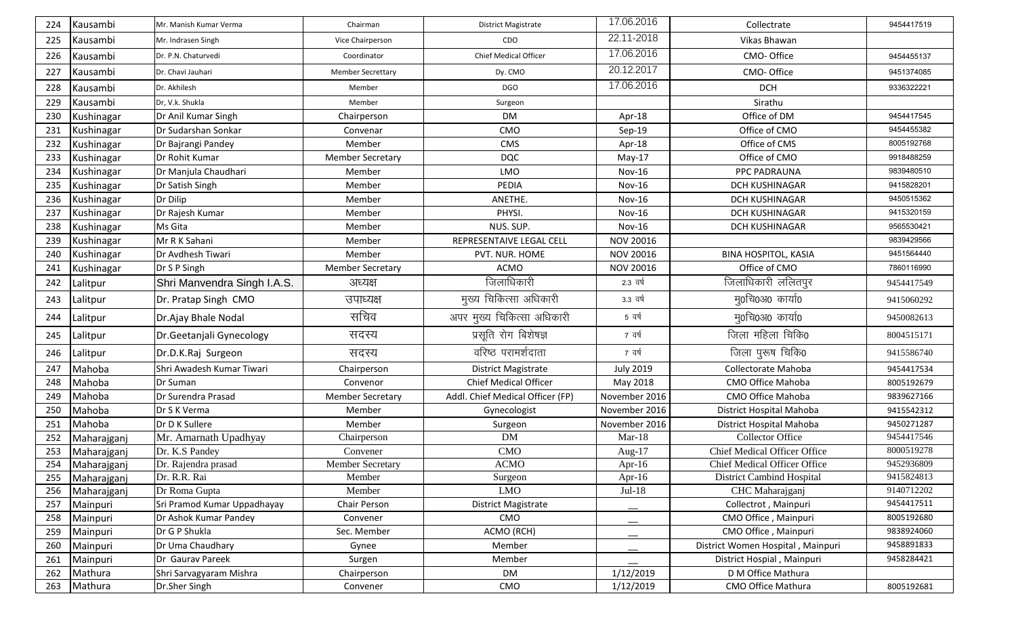| 224 | Kausambi    | Mr. Manish Kumar Verma      | Chairman                 | <b>District Magistrate</b>       | 17.06.2016       | Collectrate                         | 9454417519 |
|-----|-------------|-----------------------------|--------------------------|----------------------------------|------------------|-------------------------------------|------------|
| 225 | Kausambi    | Mr. Indrasen Singh          | Vice Chairperson         | CDO                              | 22.11-2018       | Vikas Bhawan                        |            |
| 226 | Kausambi    | Dr. P.N. Chaturvedi         | Coordinator              | Chief Medical Officer            | 17.06.2016       | CMO-Office                          | 9454455137 |
| 227 | Kausambi    | Dr. Chavi Jauhari           | <b>Member Secrettary</b> | Dy. CMO                          | 20.12.2017       | CMO-Office                          | 9451374085 |
| 228 | Kausambi    | Dr. Akhilesh                | Member                   | DGO                              | 17.06.2016       | <b>DCH</b>                          | 9336322221 |
| 229 | Kausambi    | Dr, V.k. Shukla             | Member                   | Surgeon                          |                  | Sirathu                             |            |
| 230 | Kushinagar  | Dr Anil Kumar Singh         | Chairperson              | <b>DM</b>                        | Apr-18           | Office of DM                        | 9454417545 |
| 231 | Kushinagar  | Dr Sudarshan Sonkar         | Convenar                 | <b>CMO</b>                       | Sep-19           | Office of CMO                       | 9454455382 |
| 232 | Kushinagar  | Dr Bajrangi Pandey          | Member                   | <b>CMS</b>                       | Apr-18           | Office of CMS                       | 8005192768 |
| 233 | Kushinagar  | Dr Rohit Kumar              | <b>Member Secretary</b>  | <b>DQC</b>                       | $May-17$         | Office of CMO                       | 9918488259 |
| 234 | Kushinagar  | Dr Manjula Chaudhari        | Member                   | <b>LMO</b>                       | <b>Nov-16</b>    | PPC PADRAUNA                        | 9839480510 |
| 235 | Kushinagar  | Dr Satish Singh             | Member                   | PEDIA                            | Nov-16           | DCH KUSHINAGAR                      | 9415828201 |
| 236 | Kushinagar  | Dr Dilip                    | Member                   | ANETHE.                          | <b>Nov-16</b>    | <b>DCH KUSHINAGAR</b>               | 9450515362 |
| 237 | Kushinagar  | Dr Rajesh Kumar             | Member                   | PHYSI.                           | Nov-16           | DCH KUSHINAGAR                      | 9415320159 |
| 238 | Kushinagar  | Ms Gita                     | Member                   | NUS. SUP.                        | Nov-16           | DCH KUSHINAGAR                      | 9565530421 |
| 239 | Kushinagar  | Mr R K Sahani               | Member                   | REPRESENTAIVE LEGAL CELL         | NOV 20016        |                                     | 9839429566 |
| 240 | Kushinagar  | Dr Avdhesh Tiwari           | Member                   | PVT. NUR. HOME                   | <b>NOV 20016</b> | <b>BINA HOSPITOL, KASIA</b>         | 9451564440 |
| 241 | Kushinagar  | Dr S P Singh                | <b>Member Secretary</b>  | ACMO                             | <b>NOV 20016</b> | Office of CMO                       | 7860116990 |
| 242 | Lalitpur    | Shri Manvendra Singh I.A.S. | अध्यक्ष                  | जिलाधिकारी                       | 2.3 वर्ष         | जिलाधिकारी ललितपुर                  | 9454417549 |
| 243 | Lalitpur    | Dr. Pratap Singh CMO        | उपाध्यक्ष                | मुख्य चिकित्सा अधिकारी           | 3.3 वर्ष         | मु0चि0अ0 कार्या0                    | 9415060292 |
| 244 | Lalitpur    | Dr.Ajay Bhale Nodal         | सचिव                     | अपर मुख्य चिकित्सा अधिकारी       | 5 वर्ष           | मु0चि0अ0 कार्या0                    | 9450082613 |
| 245 | Lalitpur    | Dr.Geetanjali Gynecology    | सदस्य                    | प्रसूति रोग बिशेषज्ञ             | 7 वर्ष           | जिला महिला चिकि0                    | 8004515171 |
| 246 | Lalitpur    | Dr.D.K.Raj Surgeon          | सदस्य                    | वरिष्ठ परामर्शदाता               | 7 वर्ष           | जिला पुरूष चिकि0                    | 9415586740 |
| 247 | Mahoba      | Shri Awadesh Kumar Tiwari   | Chairperson              | <b>District Magistrate</b>       | <b>July 2019</b> | Collectorate Mahoba                 | 9454417534 |
| 248 | Mahoba      | Dr Suman                    | Convenor                 | <b>Chief Medical Officer</b>     | May 2018         | CMO Office Mahoba                   | 8005192679 |
| 249 | Mahoba      | Dr Surendra Prasad          | <b>Member Secretary</b>  | Addl. Chief Medical Officer (FP) | November 2016    | CMO Office Mahoba                   | 9839627166 |
| 250 | Mahoba      | Dr S K Verma                | Member                   | Gynecologist                     | November 2016    | District Hospital Mahoba            | 9415542312 |
| 251 | Mahoba      | Dr D K Sullere              | Member                   | Surgeon                          | November 2016    | District Hospital Mahoba            | 9450271287 |
| 252 | Maharajganj | Mr. Amarnath Upadhyay       | Chairperson              | <b>DM</b>                        | $Mar-18$         | Collector Office                    | 9454417546 |
| 253 | Maharajganj | Dr. K.S Pandey              | Convener                 | <b>CMO</b>                       | Aug- $17$        | <b>Chief Medical Officer Office</b> | 8000519278 |
| 254 | Maharajganj | Dr. Rajendra prasad         | <b>Member Secretary</b>  | <b>ACMO</b>                      | Apr-16           | Chief Medical Officer Office        | 9452936809 |
| 255 | Maharajganj | Dr. R.R. Rai                | Member                   | Surgeon                          | Apr-16           | District Cambind Hospital           | 9415824813 |
| 256 | Maharajganj | Dr Roma Gupta               | Member                   | <b>LMO</b>                       | $Jul-18$         | CHC Maharajganj                     | 9140712202 |
| 257 | Mainpuri    | Sri Pramod Kumar Uppadhayay | Chair Person             | <b>District Magistrate</b>       |                  | Collectrot, Mainpuri                | 9454417511 |
| 258 | Mainpuri    | Dr Ashok Kumar Pandey       | Convener                 | CMO                              | $-$              | CMO Office, Mainpuri                | 8005192680 |
| 259 | Mainpuri    | Dr G P Shukla               | Sec. Member              | ACMO (RCH)                       |                  | CMO Office, Mainpuri                | 9838924060 |
| 260 | Mainpuri    | Dr Uma Chaudhary            | Gynee                    | Member                           |                  | District Women Hospital, Mainpuri   | 9458891833 |
| 261 | Mainpuri    | Dr Gaurav Pareek            | Surgen                   | Member                           |                  | District Hospial, Mainpuri          | 9458284421 |
| 262 | Mathura     | Shri Sarvagyaram Mishra     | Chairperson              | DM                               | 1/12/2019        | D M Office Mathura                  |            |
| 263 | Mathura     | Dr.Sher Singh               | Convener                 | CMO                              | 1/12/2019        | CMO Office Mathura                  | 8005192681 |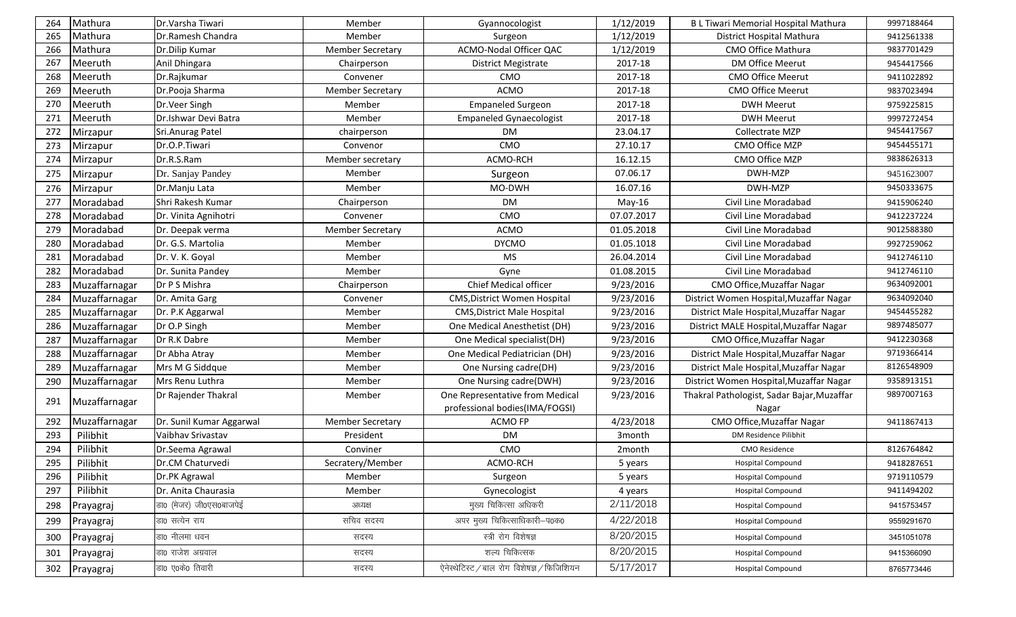| 264 | Mathura       | Dr. Varsha Tiwari        | Member                  | Gyannocologist                             | 1/12/2019          | B L Tiwari Memorial Hospital Mathura       | 9997188464 |
|-----|---------------|--------------------------|-------------------------|--------------------------------------------|--------------------|--------------------------------------------|------------|
| 265 | Mathura       | Dr.Ramesh Chandra        | Member                  | Surgeon                                    | 1/12/2019          | District Hospital Mathura                  | 9412561338 |
| 266 | Mathura       | Dr.Dilip Kumar           | <b>Member Secretary</b> | ACMO-Nodal Officer QAC                     | 1/12/2019          | CMO Office Mathura                         | 9837701429 |
| 267 | Meeruth       | Anil Dhingara            | Chairperson             | District Megistrate                        | 2017-18            | DM Office Meerut                           | 9454417566 |
| 268 | Meeruth       | Dr.Rajkumar              | Convener                | <b>CMO</b>                                 | 2017-18            | CMO Office Meerut                          | 9411022892 |
| 269 | Meeruth       | Dr.Pooja Sharma          | <b>Member Secretary</b> | ACMO                                       | 2017-18            | CMO Office Meerut                          | 9837023494 |
| 270 | Meeruth       | Dr.Veer Singh            | Member                  | <b>Empaneled Surgeon</b>                   | 2017-18            | <b>DWH Meerut</b>                          | 9759225815 |
| 271 | Meeruth       | Dr.Ishwar Devi Batra     | Member                  | <b>Empaneled Gynaecologist</b>             | 2017-18            | <b>DWH Meerut</b>                          | 9997272454 |
| 272 | Mirzapur      | Sri.Anurag Patel         | chairperson             | <b>DM</b>                                  | 23.04.17           | Collectrate MZP                            | 9454417567 |
| 273 | Mirzapur      | Dr.O.P.Tiwari            | Convenor                | CMO                                        | 27.10.17           | CMO Office MZP                             | 9454455171 |
| 274 | Mirzapur      | Dr.R.S.Ram               | Member secretary        | ACMO-RCH                                   | 16.12.15           | CMO Office MZP                             | 9838626313 |
| 275 | Mirzapur      | Dr. Sanjay Pandey        | Member                  | Surgeon                                    | 07.06.17           | DWH-MZP                                    | 9451623007 |
| 276 | Mirzapur      | Dr.Manju Lata            | Member                  | MO-DWH                                     | 16.07.16           | DWH-MZP                                    | 9450333675 |
| 277 | Moradabad     | Shri Rakesh Kumar        | Chairperson             | DM                                         | May-16             | Civil Line Moradabad                       | 9415906240 |
| 278 | Moradabad     | Dr. Vinita Agnihotri     | Convener                | <b>CMO</b>                                 | 07.07.2017         | Civil Line Moradabad                       | 9412237224 |
| 279 | Moradabad     | Dr. Deepak verma         | <b>Member Secretary</b> | ACMO                                       | 01.05.2018         | Civil Line Moradabad                       | 9012588380 |
| 280 | Moradabad     | Dr. G.S. Martolia        | Member                  | <b>DYCMO</b>                               | 01.05.1018         | Civil Line Moradabad                       | 9927259062 |
| 281 | Moradabad     | Dr. V. K. Goyal          | Member                  | MS                                         | 26.04.2014         | Civil Line Moradabad                       | 9412746110 |
| 282 | Moradabad     | Dr. Sunita Pandey        | Member                  | Gyne                                       | 01.08.2015         | Civil Line Moradabad                       | 9412746110 |
| 283 | Muzaffarnagar | Dr P S Mishra            | Chairperson             | Chief Medical officer                      | 9/23/2016          | CMO Office, Muzaffar Nagar                 | 9634092001 |
| 284 | Muzaffarnagar | Dr. Amita Garg           | Convener                | <b>CMS, District Women Hospital</b>        | 9/23/2016          | District Women Hospital, Muzaffar Nagar    | 9634092040 |
| 285 | Muzaffarnagar | Dr. P.K Aggarwal         | Member                  | <b>CMS, District Male Hospital</b>         | 9/23/2016          | District Male Hospital, Muzaffar Nagar     | 9454455282 |
| 286 | Muzaffarnagar | Dr O.P Singh             | Member                  | One Medical Anesthetist (DH)               | 9/23/2016          | District MALE Hospital, Muzaffar Nagar     | 9897485077 |
| 287 | Muzaffarnagar | Dr R.K Dabre             | Member                  | One Medical specialist(DH)                 | 9/23/2016          | CMO Office, Muzaffar Nagar                 | 9412230368 |
| 288 | Muzaffarnagar | Dr Abha Atray            | Member                  | One Medical Pediatrician (DH)              | 9/23/2016          | District Male Hospital, Muzaffar Nagar     | 9719366414 |
| 289 | Muzaffarnagar | Mrs M G Siddque          | Member                  | One Nursing cadre(DH)                      | 9/23/2016          | District Male Hospital, Muzaffar Nagar     | 8126548909 |
| 290 | Muzaffarnagar | Mrs Renu Luthra          | Member                  | One Nursing cadre(DWH)                     | 9/23/2016          | District Women Hospital, Muzaffar Nagar    | 9358913151 |
| 291 | Muzaffarnagar | Dr Rajender Thakral      | Member                  | One Representative from Medical            | 9/23/2016          | Thakral Pathologist, Sadar Bajar, Muzaffar | 9897007163 |
|     |               |                          |                         | professional bodies(IMA/FOGSI)             |                    | Nagar                                      |            |
| 292 | Muzaffarnagar | Dr. Sunil Kumar Aggarwal | <b>Member Secretary</b> | ACMO FP                                    | 4/23/2018          | CMO Office, Muzaffar Nagar                 | 9411867413 |
| 293 | Pilibhit      | Vaibhav Srivastav        | President               | <b>DM</b>                                  | 3 <sub>month</sub> | DM Residence Pilibhit                      |            |
| 294 | Pilibhit      | Dr.Seema Agrawal         | Conviner                | CMO                                        | 2month             | <b>CMO Residence</b>                       | 8126764842 |
| 295 | Pilibhit      | Dr.CM Chaturvedi         | Secratery/Member        | ACMO-RCH                                   | 5 years            | <b>Hospital Compound</b>                   | 9418287651 |
| 296 | Pilibhit      | Dr.PK Agrawal            | Member                  | Surgeon                                    | 5 years            | <b>Hospital Compound</b>                   | 9719110579 |
| 297 | Pilibhit      | Dr. Anita Chaurasia      | Member                  | Gynecologist                               | 4 years            | <b>Hospital Compound</b>                   | 9411494202 |
| 298 | Prayagraj     | डा0 (मेजर) जी0एस0बाजपेई  | अध्यक्ष                 | मुख्य चिकित्सा अधिकरी                      | 2/11/2018          | <b>Hospital Compound</b>                   | 9415753457 |
| 299 | Prayagraj     | डा0 सत्येन राय           | सचिव सदस्य              | अपर मुख्य चिकित्साधिकारी-प0क0              | 4/22/2018          | <b>Hospital Compound</b>                   | 9559291670 |
| 300 | Prayagraj     | डा0 नीलमा धवन            | सदस्य                   | स्त्री रोग विशेषज्ञ                        | 8/20/2015          | <b>Hospital Compound</b>                   | 3451051078 |
| 301 | Prayagraj     | डा0 राजेश अग्रवाल        | सदस्य                   | शल्य चिकित्सक                              | 8/20/2015          | <b>Hospital Compound</b>                   | 9415366090 |
| 302 | Prayagraj     | डा0 ए0के0 तिवारी         | सदस्य                   | ऐनेस्थेटिस्ट / बाल रोग विशेषज्ञ / फिजिशियन | 5/17/2017          | <b>Hospital Compound</b>                   | 8765773446 |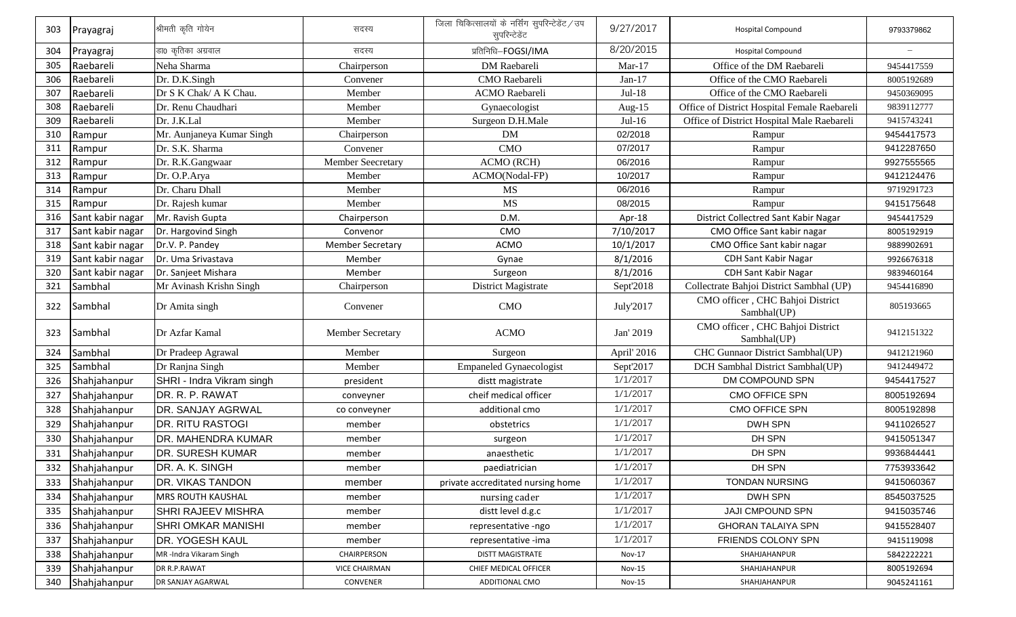| 303 | Prayagraj        | श्रीमती कृति गोयेन        | सदस्य                   | जिला चिकित्सालयों के नर्सिंग सुपरिन्टेडेंट / उप<br>सुपरिन्टेडेंट | 9/27/2017   | <b>Hospital Compound</b>                        | 9793379862 |
|-----|------------------|---------------------------|-------------------------|------------------------------------------------------------------|-------------|-------------------------------------------------|------------|
| 304 | Prayagraj        | डा0 कृतिका अग्रवाल        | सदस्य                   | प्रतिनिधि-FOGSI/IMA                                              | 8/20/2015   | <b>Hospital Compound</b>                        |            |
| 305 | Raebareli        | Neha Sharma               | Chairperson             | DM Raebareli                                                     | $Mar-17$    | Office of the DM Raebareli                      | 9454417559 |
| 306 | Raebareli        | Dr. D.K.Singh             | Convener                | CMO Raebareli                                                    | $Jan-17$    | Office of the CMO Raebareli                     | 8005192689 |
| 307 | Raebareli        | Dr S K Chak/ A K Chau.    | Member                  | <b>ACMO</b> Raebareli                                            | $Jul-18$    | Office of the CMO Raebareli                     | 9450369095 |
| 308 | Raebareli        | Dr. Renu Chaudhari        | Member                  | Gynaecologist                                                    | Aug-15      | Office of District Hospital Female Raebareli    | 9839112777 |
| 309 | Raebareli        | Dr. J.K.Lal               | Member                  | Surgeon D.H.Male                                                 | $Jul-16$    | Office of District Hospital Male Raebareli      | 9415743241 |
| 310 | Rampur           | Mr. Aunjaneya Kumar Singh | Chairperson             | <b>DM</b>                                                        | 02/2018     | Rampur                                          | 9454417573 |
| 311 | Rampur           | Dr. S.K. Sharma           | Convener                | <b>CMO</b>                                                       | 07/2017     | Rampur                                          | 9412287650 |
| 312 | Rampur           | Dr. R.K.Gangwaar          | Member Seecretary       | <b>ACMO (RCH)</b>                                                | 06/2016     | Rampur                                          | 9927555565 |
| 313 | Rampur           | Dr. O.P.Arya              | Member                  | ACMO(Nodal-FP)                                                   | 10/2017     | Rampur                                          | 9412124476 |
| 314 | Rampur           | Dr. Charu Dhall           | Member                  | <b>MS</b>                                                        | 06/2016     | Rampur                                          | 9719291723 |
| 315 | Rampur           | Dr. Rajesh kumar          | Member                  | <b>MS</b>                                                        | 08/2015     | Rampur                                          | 9415175648 |
| 316 | Sant kabir nagar | Mr. Ravish Gupta          | Chairperson             | D.M.                                                             | Apr-18      | District Collectred Sant Kabir Nagar            | 9454417529 |
| 317 | Sant kabir nagar | Dr. Hargovind Singh       | Convenor                | CMO                                                              | 7/10/2017   | CMO Office Sant kabir nagar                     | 8005192919 |
| 318 | Sant kabir nagar | Dr.V. P. Pandey           | <b>Member Secretary</b> | <b>ACMO</b>                                                      | 10/1/2017   | CMO Office Sant kabir nagar                     | 9889902691 |
| 319 | Sant kabir nagar | Dr. Uma Srivastava        | Member                  | Gynae                                                            | 8/1/2016    | <b>CDH Sant Kabir Nagar</b>                     | 9926676318 |
| 320 | Sant kabir nagar | Dr. Sanjeet Mishara       | Member                  | Surgeon                                                          | 8/1/2016    | <b>CDH Sant Kabir Nagar</b>                     | 9839460164 |
| 321 | Sambhal          | Mr Avinash Krishn Singh   | Chairperson             | District Magistrate                                              | Sept'2018   | Collectrate Bahjoi District Sambhal (UP)        | 9454416890 |
| 322 | Sambhal          | Dr Amita singh            | Convener                | <b>CMO</b>                                                       | July'2017   | CMO officer, CHC Bahjoi District<br>Sambhal(UP) | 805193665  |
| 323 | Sambhal          | Dr Azfar Kamal            | Member Secretary        | <b>ACMO</b>                                                      | Jan' 2019   | CMO officer, CHC Bahjoi District<br>Sambhal(UP) | 9412151322 |
| 324 | Sambhal          | Dr Pradeep Agrawal        | Member                  | Surgeon                                                          | April' 2016 | CHC Gunnaor District Sambhal(UP)                | 9412121960 |
| 325 | Sambhal          | Dr Ranjna Singh           | Member                  | <b>Empaneled Gynaecologist</b>                                   | Sept'2017   | DCH Sambhal District Sambhal(UP)                | 9412449472 |
| 326 | Shahjahanpur     | SHRI - Indra Vikram singh | president               | distt magistrate                                                 | 1/1/2017    | DM COMPOUND SPN                                 | 9454417527 |
| 327 | Shahjahanpur     | DR. R. P. RAWAT           | conveyner               | cheif medical officer                                            | 1/1/2017    | CMO OFFICE SPN                                  | 8005192694 |
| 328 | Shahjahanpur     | DR. SANJAY AGRWAL         | co conveyner            | additional cmo                                                   | 1/1/2017    | CMO OFFICE SPN                                  | 8005192898 |
| 329 | Shahjahanpur     | <b>DR. RITU RASTOGI</b>   | member                  | obstetrics                                                       | 1/1/2017    | DWH SPN                                         | 9411026527 |
| 330 | Shahjahanpur     | <b>DR. MAHENDRA KUMAR</b> | member                  | surgeon                                                          | 1/1/2017    | DH SPN                                          | 9415051347 |
| 331 | Shahjahanpur     | <b>DR. SURESH KUMAR</b>   | member                  | anaesthetic                                                      | 1/1/2017    | DH SPN                                          | 9936844441 |
| 332 | Shahjahanpur     | DR. A. K. SINGH           | member                  | paediatrician                                                    | 1/1/2017    | DH SPN                                          | 7753933642 |
| 333 | Shahjahanpur     | <b>DR. VIKAS TANDON</b>   | member                  | private accreditated nursing home                                | 1/1/2017    | <b>TONDAN NURSING</b>                           | 9415060367 |
| 334 | Shahjahanpur     | <b>MRS ROUTH KAUSHAL</b>  | member                  | nursing cader                                                    | 1/1/2017    | DWH SPN                                         | 8545037525 |
| 335 | Shahjahanpur     | <b>SHRI RAJEEV MISHRA</b> | member                  | distt level d.g.c                                                | 1/1/2017    | <b>JAJI CMPOUND SPN</b>                         | 9415035746 |
| 336 | Shahjahanpur     | <b>SHRI OMKAR MANISHI</b> | member                  | representative -ngo                                              | 1/1/2017    | <b>GHORAN TALAIYA SPN</b>                       | 9415528407 |
| 337 | Shahjahanpur     | DR. YOGESH KAUL           | member                  | representative -ima                                              | 1/1/2017    | FRIENDS COLONY SPN                              | 9415119098 |
| 338 | Shahjahanpur     | MR-Indra Vikaram Singh    | CHAIRPERSON             | <b>DISTT MAGISTRATE</b>                                          | Nov-17      | SHAHJAHANPUR                                    | 5842222221 |
| 339 | Shahjahanpur     | DR R.P.RAWAT              | <b>VICE CHAIRMAN</b>    | CHIEF MEDICAL OFFICER                                            | Nov-15      | SHAHJAHANPUR                                    | 8005192694 |
| 340 | Shahjahanpur     | DR SANJAY AGARWAL         | CONVENER                | ADDITIONAL CMO                                                   | Nov-15      | SHAHJAHANPUR                                    | 9045241161 |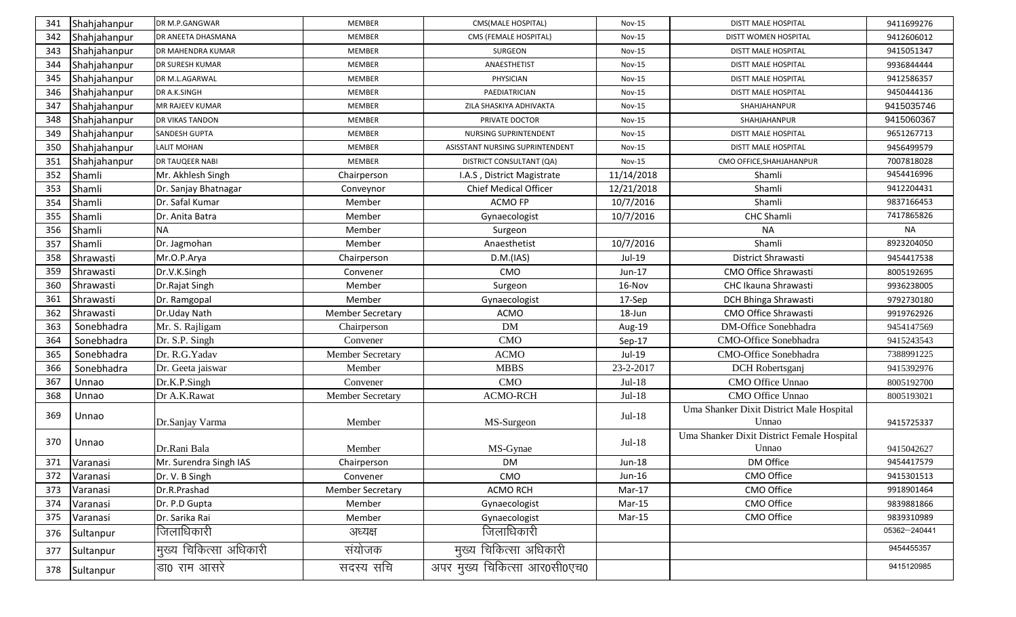| 341 | Shahjahanpur | DR M.P.GANGWAR           | <b>MEMBER</b>           | CMS(MALE HOSPITAL)              | <b>Nov-15</b> | <b>DISTT MALE HOSPITAL</b>                 | 9411699276   |
|-----|--------------|--------------------------|-------------------------|---------------------------------|---------------|--------------------------------------------|--------------|
| 342 | Shahjahanpur | DR ANEETA DHASMANA       | <b>MEMBER</b>           | CMS (FEMALE HOSPITAL)           | <b>Nov-15</b> | DISTT WOMEN HOSPITAL                       | 9412606012   |
| 343 | Shahjahanpur | <b>DR MAHENDRA KUMAR</b> | <b>MEMBER</b>           | SURGEON                         | <b>Nov-15</b> | <b>DISTT MALE HOSPITAL</b>                 | 9415051347   |
| 344 | Shahjahanpur | <b>DR SURESH KUMAR</b>   | <b>MEMBER</b>           | ANAESTHETIST                    | <b>Nov-15</b> | <b>DISTT MALE HOSPITAL</b>                 | 9936844444   |
| 345 | Shahjahanpur | DR M.L.AGARWAL           | <b>MEMBER</b>           | PHYSICIAN                       | <b>Nov-15</b> | <b>DISTT MALE HOSPITAL</b>                 | 9412586357   |
| 346 | Shahjahanpur | DR A.K.SINGH             | <b>MEMBER</b>           | PAEDIATRICIAN                   | <b>Nov-15</b> | <b>DISTT MALE HOSPITAL</b>                 | 9450444136   |
| 347 | Shahjahanpur | MR RAJEEV KUMAR          | <b>MEMBER</b>           | ZILA SHASKIYA ADHIVAKTA         | $Nov-15$      | SHAHJAHANPUR                               | 9415035746   |
| 348 | Shahjahanpur | DR VIKAS TANDON          | <b>MEMBER</b>           | PRIVATE DOCTOR                  | <b>Nov-15</b> | SHAHJAHANPUR                               | 9415060367   |
| 349 | Shahjahanpur | SANDESH GUPTA            | <b>MEMBER</b>           | NURSING SUPRINTENDENT           | $Nov-15$      | DISTT MALE HOSPITAL                        | 9651267713   |
| 350 | Shahjahanpur | <b>LALIT MOHAN</b>       | <b>MEMBER</b>           | ASISSTANT NURSING SUPRINTENDENT | <b>Nov-15</b> | <b>DISTT MALE HOSPITAL</b>                 | 9456499579   |
| 351 | Shahjahanpur | <b>DR TAUQEER NABI</b>   | <b>MEMBER</b>           | DISTRICT CONSULTANT (QA)        | <b>Nov-15</b> | CMO OFFICE, SHAHJAHANPUR                   | 7007818028   |
| 352 | Shamli       | Mr. Akhlesh Singh        | Chairperson             | I.A.S, District Magistrate      | 11/14/2018    | Shamli                                     | 9454416996   |
| 353 | Shamli       | Dr. Sanjay Bhatnagar     | Conveynor               | <b>Chief Medical Officer</b>    | 12/21/2018    | Shamli                                     | 9412204431   |
| 354 | Shamli       | Dr. Safal Kumar          | Member                  | <b>ACMO FP</b>                  | 10/7/2016     | Shamli                                     | 9837166453   |
| 355 | Shamli       | Dr. Anita Batra          | Member                  | Gynaecologist                   | 10/7/2016     | CHC Shamli                                 | 7417865826   |
| 356 | Shamli       | <b>NA</b>                | Member                  | Surgeon                         |               | <b>NA</b>                                  | <b>NA</b>    |
| 357 | Shamli       | Dr. Jagmohan             | Member                  | Anaesthetist                    | 10/7/2016     | Shamli                                     | 8923204050   |
| 358 | Shrawasti    | Mr.O.P.Arya              | Chairperson             | D.M.(IAS)                       | Jul-19        | District Shrawasti                         | 9454417538   |
| 359 | Shrawasti    | Dr.V.K.Singh             | Convener                | CMO                             | Jun-17        | CMO Office Shrawasti                       | 8005192695   |
| 360 | Shrawasti    | Dr.Rajat Singh           | Member                  | Surgeon                         | 16-Nov        | CHC Ikauna Shrawasti                       | 9936238005   |
| 361 | Shrawasti    | Dr. Ramgopal             | Member                  | Gynaecologist                   | 17-Sep        | DCH Bhinga Shrawasti                       | 9792730180   |
| 362 | Shrawasti    | Dr.Uday Nath             | <b>Member Secretary</b> | <b>ACMO</b>                     | 18-Jun        | CMO Office Shrawasti                       | 9919762926   |
| 363 | Sonebhadra   | Mr. S. Rajligam          | Chairperson             | <b>DM</b>                       | Aug-19        | DM-Office Sonebhadra                       | 9454147569   |
| 364 | Sonebhadra   | Dr. S.P. Singh           | Convener                | <b>CMO</b>                      | Sep-17        | CMO-Office Sonebhadra                      | 9415243543   |
| 365 | Sonebhadra   | Dr. R.G.Yadav            | Member Secretary        | <b>ACMO</b>                     | Jul-19        | CMO-Office Sonebhadra                      | 7388991225   |
| 366 | Sonebhadra   | Dr. Geeta jaiswar        | Member                  | <b>MBBS</b>                     | 23-2-2017     | DCH Robertsganj                            | 9415392976   |
| 367 | Unnao        | Dr.K.P.Singh             | Convener                | CMO                             | $Jul-18$      | CMO Office Unnao                           | 8005192700   |
| 368 | Unnao        | Dr A.K.Rawat             | Member Secretary        | <b>ACMO-RCH</b>                 | $Jul-18$      | CMO Office Unnao                           | 8005193021   |
| 369 | Unnao        |                          |                         |                                 | $Jul-18$      | Uma Shanker Dixit District Male Hospital   |              |
|     |              | Dr.Sanjay Varma          | Member                  | MS-Surgeon                      |               | Unnao                                      | 9415725337   |
| 370 | Unnao        |                          |                         |                                 | $Jul-18$      | Uma Shanker Dixit District Female Hospital |              |
|     |              | Dr.Rani Bala             | Member                  | MS-Gynae                        |               | Unnao                                      | 9415042627   |
| 371 | Varanasi     | Mr. Surendra Singh IAS   | Chairperson             | <b>DM</b>                       | Jun-18        | DM Office                                  | 9454417579   |
| 372 | Varanasi     | Dr. V. B Singh           | Convener                | CMO                             | Jun-16        | CMO Office                                 | 9415301513   |
| 373 | Varanasi     | Dr.R.Prashad             | <b>Member Secretary</b> | <b>ACMO RCH</b>                 | Mar-17        | CMO Office                                 | 9918901464   |
| 374 | Varanasi     | Dr. P.D Gupta            | Member                  | Gynaecologist                   | Mar-15        | CMO Office                                 | 9839881866   |
| 375 | Varanasi     | Dr. Sarika Rai           | Member                  | Gynaecologist                   | Mar-15        | CMO Office                                 | 9839310989   |
| 376 | Sultanpur    | जिलाधिकारी               | अध्यक्ष                 | जिलाधिकारी                      |               |                                            | 05362-240441 |
| 377 | Sultanpur    | मुख्य चिकित्सा अधिकारी   | संयोजक                  | मुख्य चिकित्सा अधिकारी          |               |                                            | 9454455357   |
| 378 | Sultanpur    | डा0 राम आसरे             | सदस्य सचि               | अपर मुख्य चिकित्सा आर0सी0एच0    |               |                                            | 9415120985   |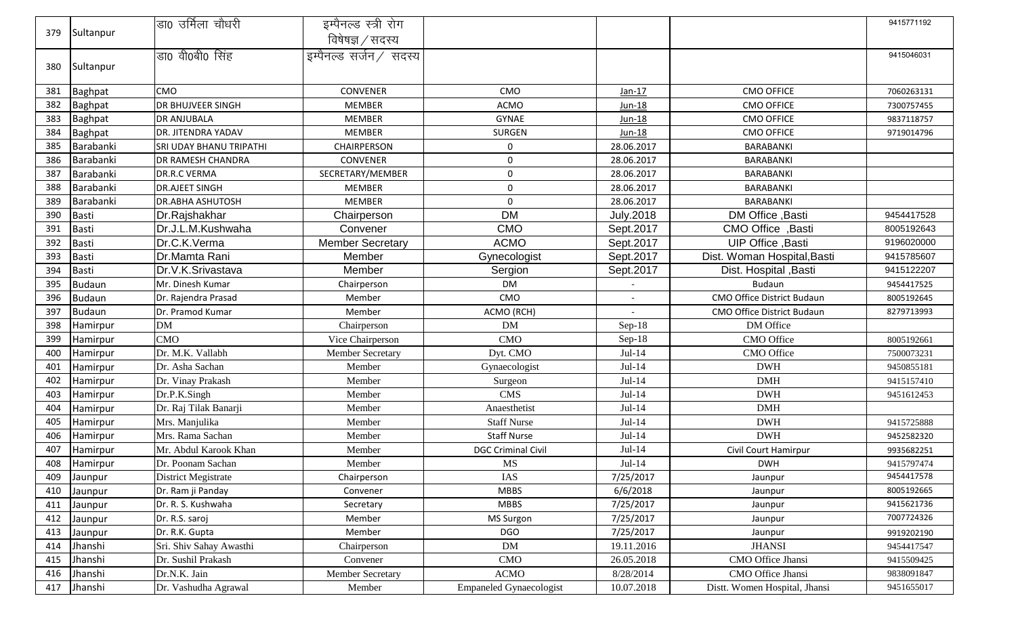|     |                | 'डा0 उर्मिला चौधरी             | इम्पैनल्ड स्त्री रोग    |                                |                  |                               | 9415771192 |
|-----|----------------|--------------------------------|-------------------------|--------------------------------|------------------|-------------------------------|------------|
| 379 | Sultanpur      |                                | विषेषज्ञ / सदस्य        |                                |                  |                               |            |
|     |                | डा0 वी0बी0 सिंह                | इम्पैनल्ड सर्जन / सदस्य |                                |                  |                               | 9415046031 |
| 380 | Sultanpur      |                                |                         |                                |                  |                               |            |
|     |                |                                |                         |                                |                  |                               |            |
| 381 | <b>Baghpat</b> | <b>CMO</b>                     | <b>CONVENER</b>         | <b>CMO</b>                     | $Jan-17$         | <b>CMO OFFICE</b>             | 7060263131 |
| 382 | <b>Baghpat</b> | <b>DR BHUJVEER SINGH</b>       | <b>MEMBER</b>           | ACMO                           | Jun-18           | <b>CMO OFFICE</b>             | 7300757455 |
| 383 | <b>Baghpat</b> | <b>DR ANJUBALA</b>             | <b>MEMBER</b>           | <b>GYNAE</b>                   | Jun-18           | <b>CMO OFFICE</b>             | 9837118757 |
| 384 | <b>Baghpat</b> | <b>DR. JITENDRA YADAV</b>      | <b>MEMBER</b>           | <b>SURGEN</b>                  | Jun-18           | <b>CMO OFFICE</b>             | 9719014796 |
| 385 | Barabanki      | <b>SRI UDAY BHANU TRIPATHI</b> | CHAIRPERSON             | $\mathbf 0$                    | 28.06.2017       | <b>BARABANKI</b>              |            |
| 386 | Barabanki      | <b>DR RAMESH CHANDRA</b>       | CONVENER                | $\mathbf 0$                    | 28.06.2017       | BARABANKI                     |            |
| 387 | Barabanki      | DR.R.C VERMA                   | SECRETARY/MEMBER        | 0                              | 28.06.2017       | BARABANKI                     |            |
| 388 | Barabanki      | <b>DR.AJEET SINGH</b>          | <b>MEMBER</b>           | 0                              | 28.06.2017       | BARABANKI                     |            |
| 389 | Barabanki      | <b>DR.ABHA ASHUTOSH</b>        | <b>MEMBER</b>           | $\mathbf 0$                    | 28.06.2017       | <b>BARABANKI</b>              |            |
| 390 | <b>Basti</b>   | Dr.Rajshakhar                  | Chairperson             | <b>DM</b>                      | <b>July.2018</b> | DM Office, Basti              | 9454417528 |
| 391 | <b>Basti</b>   | Dr.J.L.M.Kushwaha              | Convener                | <b>CMO</b>                     | Sept.2017        | CMO Office, Basti             | 8005192643 |
| 392 | <b>Basti</b>   | Dr.C.K.Verma                   | <b>Member Secretary</b> | <b>ACMO</b>                    | Sept.2017        | UIP Office, Basti             | 9196020000 |
| 393 | <b>Basti</b>   | Dr.Mamta Rani                  | Member                  | Gynecologist                   | Sept.2017        | Dist. Woman Hospital, Basti   | 9415785607 |
| 394 | <b>Basti</b>   | Dr.V.K.Srivastava              | Member                  | Sergion                        | Sept.2017        | Dist. Hospital , Basti        | 9415122207 |
| 395 | <b>Budaun</b>  | Mr. Dinesh Kumar               | Chairperson             | <b>DM</b>                      |                  | <b>Budaun</b>                 | 9454417525 |
| 396 | <b>Budaun</b>  | Dr. Rajendra Prasad            | Member                  | CMO                            |                  | CMO Office District Budaun    | 8005192645 |
| 397 | <b>Budaun</b>  | Dr. Pramod Kumar               | Member                  | ACMO (RCH)                     |                  | CMO Office District Budaun    | 8279713993 |
| 398 | Hamirpur       | <b>DM</b>                      | Chairperson             | <b>DM</b>                      | Sep-18           | DM Office                     |            |
| 399 | Hamirpur       | <b>CMO</b>                     | Vice Chairperson        | <b>CMO</b>                     | $Sep-18$         | CMO Office                    | 8005192661 |
| 400 | Hamirpur       | Dr. M.K. Vallabh               | Member Secretary        | Dyt. CMO                       | $Jul-14$         | CMO Office                    | 7500073231 |
| 401 | Hamirpur       | Dr. Asha Sachan                | Member                  | Gynaecologist                  | $Jul-14$         | <b>DWH</b>                    | 9450855181 |
| 402 | Hamirpur       | Dr. Vinay Prakash              | Member                  | Surgeon                        | $Jul-14$         | <b>DMH</b>                    | 9415157410 |
| 403 | Hamirpur       | Dr.P.K.Singh                   | Member                  | <b>CMS</b>                     | $Jul-14$         | <b>DWH</b>                    | 9451612453 |
| 404 | Hamirpur       | Dr. Raj Tilak Banarji          | Member                  | Anaesthetist                   | $Jul-14$         | <b>DMH</b>                    |            |
| 405 | Hamirpur       | Mrs. Manjulika                 | Member                  | <b>Staff Nurse</b>             | $Jul-14$         | <b>DWH</b>                    | 9415725888 |
| 406 | Hamirpur       | Mrs. Rama Sachan               | Member                  | <b>Staff Nurse</b>             | $Jul-14$         | <b>DWH</b>                    | 9452582320 |
| 407 | Hamirpur       | Mr. Abdul Karook Khan          | Member                  | <b>DGC Criminal Civil</b>      | $Jul-14$         | Civil Court Hamirpur          | 9935682251 |
| 408 | Hamirpur       | Dr. Poonam Sachan              | Member                  | MS                             | $Jul-14$         | <b>DWH</b>                    | 9415797474 |
| 409 | Jaunpur        | District Megistrate            | Chairperson             | IAS                            | 7/25/2017        | Jaunpur                       | 9454417578 |
| 410 | Jaunpur        | Dr. Ram ji Panday              | Convener                | <b>MBBS</b>                    | 6/6/2018         | Jaunpur                       | 8005192665 |
| 411 | Jaunpur        | Dr. R. S. Kushwaha             | Secretary               | <b>MBBS</b>                    | 7/25/2017        | Jaunpur                       | 9415621736 |
| 412 | Jaunpur        | Dr. R.S. saroj                 | Member                  | MS Surgon                      | 7/25/2017        | Jaunpur                       | 7007724326 |
| 413 | Jaunpur        | Dr. R.K. Gupta                 | Member                  | <b>DGO</b>                     | 7/25/2017        | Jaunpur                       | 9919202190 |
| 414 | Jhanshi        | Sri. Shiv Sahay Awasthi        | Chairperson             | DM                             | 19.11.2016       | <b>JHANSI</b>                 | 9454417547 |
| 415 | Jhanshi        | Dr. Sushil Prakash             | Convener                | CMO                            | 26.05.2018       | CMO Office Jhansi             | 9415509425 |
| 416 | Jhanshi        | Dr.N.K. Jain                   | <b>Member Secretary</b> | <b>ACMO</b>                    | 8/28/2014        | CMO Office Jhansi             | 9838091847 |
| 417 | Jhanshi        | Dr. Vashudha Agrawal           | Member                  | <b>Empaneled Gynaecologist</b> | 10.07.2018       | Distt. Women Hospital, Jhansi | 9451655017 |